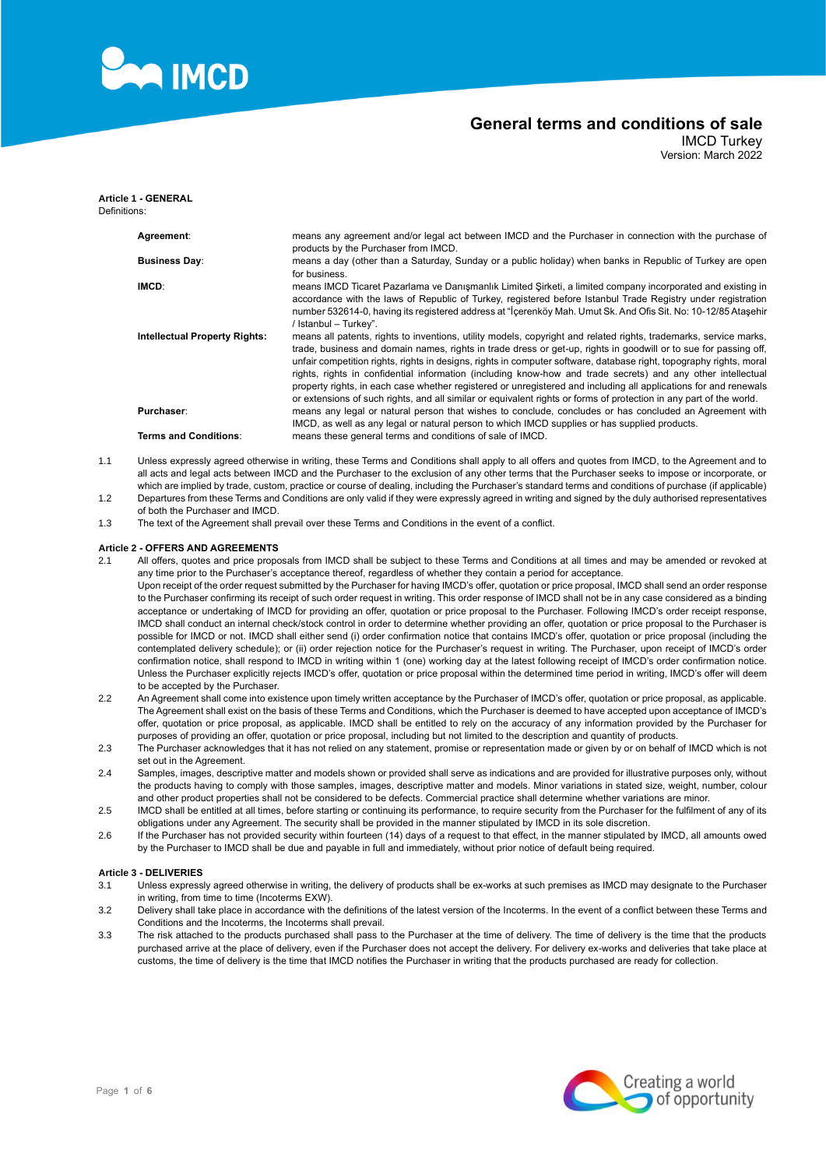

IMCD Turkey Version: March 2022

| Definitions: | <b>Article 1 - GENERAL</b>           |                                                                                                                                                                                                                                                                                                                                                                                                                                                                                                                                                                                                                                                                                                                         |
|--------------|--------------------------------------|-------------------------------------------------------------------------------------------------------------------------------------------------------------------------------------------------------------------------------------------------------------------------------------------------------------------------------------------------------------------------------------------------------------------------------------------------------------------------------------------------------------------------------------------------------------------------------------------------------------------------------------------------------------------------------------------------------------------------|
|              | Agreement:                           | means any agreement and/or legal act between IMCD and the Purchaser in connection with the purchase of<br>products by the Purchaser from IMCD.                                                                                                                                                                                                                                                                                                                                                                                                                                                                                                                                                                          |
|              | <b>Business Day:</b>                 | means a day (other than a Saturday, Sunday or a public holiday) when banks in Republic of Turkey are open<br>for business.                                                                                                                                                                                                                                                                                                                                                                                                                                                                                                                                                                                              |
|              | IMCD:                                | means IMCD Ticaret Pazarlama ve Danismanlik Limited Sirketi, a limited company incorporated and existing in<br>accordance with the laws of Republic of Turkey, registered before Istanbul Trade Registry under registration<br>number 532614-0, having its registered address at "İçerenköy Mah. Umut Sk. And Ofis Sit. No: 10-12/85 Atasehir<br>/ Istanbul - Turkey".                                                                                                                                                                                                                                                                                                                                                  |
|              | <b>Intellectual Property Rights:</b> | means all patents, rights to inventions, utility models, copyright and related rights, trademarks, service marks,<br>trade, business and domain names, rights in trade dress or get-up, rights in goodwill or to sue for passing off,<br>unfair competition rights, rights in designs, rights in computer software, database right, topography rights, moral<br>rights, rights in confidential information (including know-how and trade secrets) and any other intellectual<br>property rights, in each case whether registered or unregistered and including all applications for and renewals<br>or extensions of such rights, and all similar or equivalent rights or forms of protection in any part of the world. |
|              | <b>Purchaser:</b>                    | means any legal or natural person that wishes to conclude, concludes or has concluded an Agreement with<br>IMCD, as well as any legal or natural person to which IMCD supplies or has supplied products.                                                                                                                                                                                                                                                                                                                                                                                                                                                                                                                |
|              | Terms and Conditions:                | means these general terms and conditions of sale of IMCD.                                                                                                                                                                                                                                                                                                                                                                                                                                                                                                                                                                                                                                                               |

- 1.1 Unless expressly agreed otherwise in writing, these Terms and Conditions shall apply to all offers and quotes from IMCD, to the Agreement and to all acts and legal acts between IMCD and the Purchaser to the exclusion of any other terms that the Purchaser seeks to impose or incorporate, or which are implied by trade, custom, practice or course of dealing, including the Purchaser's standard terms and conditions of purchase (if applicable)
- 1.2 Departures from these Terms and Conditions are only valid if they were expressly agreed in writing and signed by the duly authorised representatives of both the Purchaser and IMCD.
- 1.3 The text of the Agreement shall prevail over these Terms and Conditions in the event of a conflict.

#### **Article 2 - OFFERS AND AGREEMENTS**

- 2.1 All offers, quotes and price proposals from IMCD shall be subject to these Terms and Conditions at all times and may be amended or revoked at any time prior to the Purchaser's acceptance thereof, regardless of whether they contain a period for acceptance. Upon receipt of the order request submitted by the Purchaser for having IMCD's offer, quotation or price proposal, IMCD shall send an order response to the Purchaser confirming its receipt of such order request in writing. This order response of IMCD shall not be in any case considered as a binding acceptance or undertaking of IMCD for providing an offer, quotation or price proposal to the Purchaser. Following IMCD's order receipt response, IMCD shall conduct an internal check/stock control in order to determine whether providing an offer, quotation or price proposal to the Purchaser is possible for IMCD or not. IMCD shall either send (i) order confirmation notice that contains IMCD's offer, quotation or price proposal (including the contemplated delivery schedule); or (ii) order rejection notice for the Purchaser's request in writing. The Purchaser, upon receipt of IMCD's order confirmation notice, shall respond to IMCD in writing within 1 (one) working day at the latest following receipt of IMCD's order confirmation notice. Unless the Purchaser explicitly rejects IMCD's offer, quotation or price proposal within the determined time period in writing, IMCD's offer will deem to be accepted by the Purchaser.
- 2.2 An Agreement shall come into existence upon timely written acceptance by the Purchaser of IMCD's offer, quotation or price proposal, as applicable. The Agreement shall exist on the basis of these Terms and Conditions, which the Purchaser is deemed to have accepted upon acceptance of IMCD's offer, quotation or price proposal, as applicable. IMCD shall be entitled to rely on the accuracy of any information provided by the Purchaser for purposes of providing an offer, quotation or price proposal, including but not limited to the description and quantity of products.
- 2.3 The Purchaser acknowledges that it has not relied on any statement, promise or representation made or given by or on behalf of IMCD which is not set out in the Agreement.
- 2.4 Samples, images, descriptive matter and models shown or provided shall serve as indications and are provided for illustrative purposes only, without the products having to comply with those samples, images, descriptive matter and models. Minor variations in stated size, weight, number, colour and other product properties shall not be considered to be defects. Commercial practice shall determine whether variations are minor.
- <span id="page-0-0"></span>2.5 IMCD shall be entitled at all times, before starting or continuing its performance, to require security from the Purchaser for the fulfilment of any of its obligations under any Agreement. The security shall be provided in the manner stipulated by IMCD in its sole discretion.
- 2.6 If the Purchaser has not provided security within fourteen (14) days of a request to that effect, in the manner stipulated by IMCD, all amounts owed by the Purchaser to IMCD shall be due and payable in full and immediately, without prior notice of default being required.

### **Article 3 - DELIVERIES**

- 3.1 Unless expressly agreed otherwise in writing, the delivery of products shall be ex-works at such premises as IMCD may designate to the Purchaser in writing, from time to time (Incoterms EXW).
- 3.2 Delivery shall take place in accordance with the definitions of the latest version of the Incoterms. In the event of a conflict between these Terms and Conditions and the Incoterms, the Incoterms shall prevail.
- 3.3 The risk attached to the products purchased shall pass to the Purchaser at the time of delivery. The time of delivery is the time that the products purchased arrive at the place of delivery, even if the Purchaser does not accept the delivery. For delivery ex-works and deliveries that take place at customs, the time of delivery is the time that IMCD notifies the Purchaser in writing that the products purchased are ready for collection.

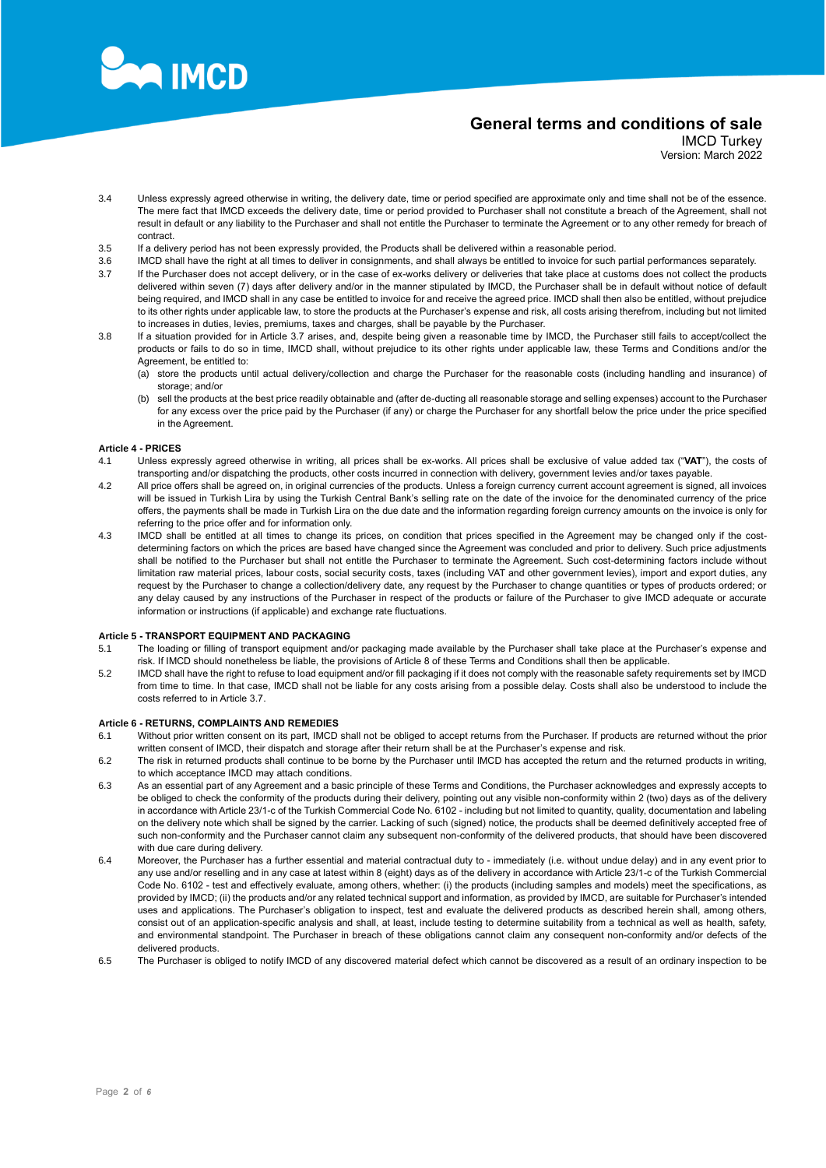

IMCD Turkey Version: March 2022

- 3.4 Unless expressly agreed otherwise in writing, the delivery date, time or period specified are approximate only and time shall not be of the essence. The mere fact that IMCD exceeds the delivery date, time or period provided to Purchaser shall not constitute a breach of the Agreement, shall not result in default or any liability to the Purchaser and shall not entitle the Purchaser to terminate the Agreement or to any other remedy for breach of contract.
- 3.5 If a delivery period has not been expressly provided, the Products shall be delivered within a reasonable period.
- 3.6 IMCD shall have the right at all times to deliver in consignments, and shall always be entitled to invoice for such partial performances separately.
- <span id="page-1-0"></span>3.7 If the Purchaser does not accept delivery, or in the case of ex-works delivery or deliveries that take place at customs does not collect the products delivered within seven (7) days after delivery and/or in the manner stipulated by IMCD, the Purchaser shall be in default without notice of default being required, and IMCD shall in any case be entitled to invoice for and receive the agreed price. IMCD shall then also be entitled, without prejudice to its other rights under applicable law, to store the products at the Purchaser's expense and risk, all costs arising therefrom, including but not limited to increases in duties, levies, premiums, taxes and charges, shall be payable by the Purchaser.
- 3.8 If a situation provided for in Article 3.7 arises, and, despite being given a reasonable time by IMCD, the Purchaser still fails to accept/collect the products or fails to do so in time, IMCD shall, without prejudice to its other rights under applicable law, these Terms and Conditions and/or the Agreement, be entitled to:
	- (a) store the products until actual delivery/collection and charge the Purchaser for the reasonable costs (including handling and insurance) of storage; and/or
	- (b) sell the products at the best price readily obtainable and (after de-ducting all reasonable storage and selling expenses) account to the Purchaser for any excess over the price paid by the Purchaser (if any) or charge the Purchaser for any shortfall below the price under the price specified in the Agreement.

## **Article 4 - PRICES**

- 4.1 Unless expressly agreed otherwise in writing, all prices shall be ex-works. All prices shall be exclusive of value added tax ("**VAT**"), the costs of transporting and/or dispatching the products, other costs incurred in connection with delivery, government levies and/or taxes payable.
- 4.2 All price offers shall be agreed on, in original currencies of the products. Unless a foreign currency current account agreement is signed, all invoices will be issued in Turkish Lira by using the Turkish Central Bank's selling rate on the date of the invoice for the denominated currency of the price offers, the payments shall be made in Turkish Lira on the due date and the information regarding foreign currency amounts on the invoice is only for referring to the price offer and for information only.
- 4.3 IMCD shall be entitled at all times to change its prices, on condition that prices specified in the Agreement may be changed only if the costdetermining factors on which the prices are based have changed since the Agreement was concluded and prior to delivery. Such price adjustments shall be notified to the Purchaser but shall not entitle the Purchaser to terminate the Agreement. Such cost-determining factors include without limitation raw material prices, labour costs, social security costs, taxes (including VAT and other government levies), import and export duties, any request by the Purchaser to change a collection/delivery date, any request by the Purchaser to change quantities or types of products ordered; or any delay caused by any instructions of the Purchaser in respect of the products or failure of the Purchaser to give IMCD adequate or accurate information or instructions (if applicable) and exchange rate fluctuations.

## **Article 5 - TRANSPORT EQUIPMENT AND PACKAGING**

- 5.1 The loading or filling of transport equipment and/or packaging made available by the Purchaser shall take place at the Purchaser's expense and risk. If IMCD should nonetheless be liable, the provisions o[f Article 8](#page-2-0) of these Terms and Conditions shall then be applicable.
- 5.2 IMCD shall have the right to refuse to load equipment and/or fill packaging if it does not comply with the reasonable safety requirements set by IMCD from time to time. In that case, IMCD shall not be liable for any costs arising from a possible delay. Costs shall also be understood to include the costs referred to in Article [3.7.](#page-1-0)

#### **Article 6 - RETURNS, COMPLAINTS AND REMEDIES**

- 6.1 Without prior written consent on its part, IMCD shall not be obliged to accept returns from the Purchaser. If products are returned without the prior written consent of IMCD, their dispatch and storage after their return shall be at the Purchaser's expense and risk.
- 6.2 The risk in returned products shall continue to be borne by the Purchaser until IMCD has accepted the return and the returned products in writing, to which acceptance IMCD may attach conditions.
- <span id="page-1-1"></span>6.3 As an essential part of any Agreement and a basic principle of these Terms and Conditions, the Purchaser acknowledges and expressly accepts to be obliged to check the conformity of the products during their delivery, pointing out any visible non-conformity within 2 (two) days as of the delivery in accordance with Article 23/1-c of the Turkish Commercial Code No. 6102 - including but not limited to quantity, quality, documentation and labeling on the delivery note which shall be signed by the carrier. Lacking of such (signed) notice, the products shall be deemed definitively accepted free of such non-conformity and the Purchaser cannot claim any subsequent non-conformity of the delivered products, that should have been discovered with due care during delivery.
- <span id="page-1-2"></span>6.4 Moreover, the Purchaser has a further essential and material contractual duty to - immediately (i.e. without undue delay) and in any event prior to any use and/or reselling and in any case at latest within 8 (eight) days as of the delivery in accordance with Article 23/1-c of the Turkish Commercial Code No. 6102 - test and effectively evaluate, among others, whether: (i) the products (including samples and models) meet the specifications, as provided by IMCD; (ii) the products and/or any related technical support and information, as provided by IMCD, are suitable for Purchaser's intended uses and applications. The Purchaser's obligation to inspect, test and evaluate the delivered products as described herein shall, among others, consist out of an application-specific analysis and shall, at least, include testing to determine suitability from a technical as well as health, safety, and environmental standpoint. The Purchaser in breach of these obligations cannot claim any consequent non-conformity and/or defects of the delivered products.
- 6.5 The Purchaser is obliged to notify IMCD of any discovered material defect which cannot be discovered as a result of an ordinary inspection to be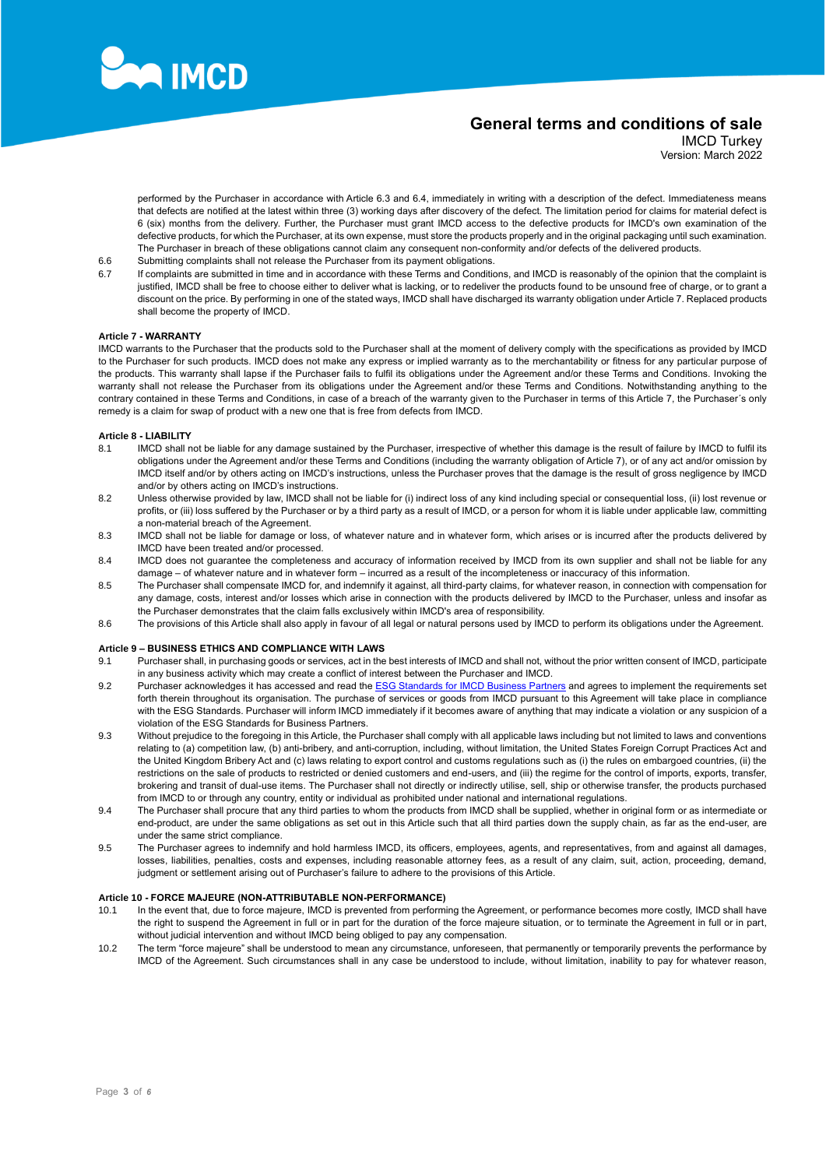

IMCD Turkey Version: March 2022

performed by the Purchaser in accordance with Article 6.3 and 6.4, immediately in writing with a description of the defect. Immediateness means that defects are notified at the latest within three (3) working days after discovery of the defect. The limitation period for claims for material defect is 6 (six) months from the delivery. Further, the Purchaser must grant IMCD access to the defective products for IMCD's own examination of the defective products, for which the Purchaser, at its own expense, must store the products properly and in the original packaging until such examination. The Purchaser in breach of these obligations cannot claim any consequent non-conformity and/or defects of the delivered products.

- 6.6 Submitting complaints shall not release the Purchaser from its payment obligations.
- 6.7 If complaints are submitted in time and in accordance with these Terms and Conditions, and IMCD is reasonably of the opinion that the complaint is justified, IMCD shall be free to choose either to deliver what is lacking, or to redeliver the products found to be unsound free of charge, or to grant a discount on the price. By performing in one of the stated ways, IMCD shall have discharged its warranty obligation unde[r Article 7.](#page-2-1) Replaced products shall become the property of IMCD.

### <span id="page-2-1"></span>**Article 7 - WARRANTY**

IMCD warrants to the Purchaser that the products sold to the Purchaser shall at the moment of delivery comply with the specifications as provided by IMCD to the Purchaser for such products. IMCD does not make any express or implied warranty as to the merchantability or fitness for any particular purpose of the products. This warranty shall lapse if the Purchaser fails to fulfil its obligations under the Agreement and/or these Terms and Conditions. Invoking the warranty shall not release the Purchaser from its obligations under the Agreement and/or these Terms and Conditions. Notwithstanding anything to the contrary contained in these Terms and Conditions, in case of a breach of the warranty given to the Purchaser in terms of thi[s Article 7,](#page-2-1) the Purchaser´s only remedy is a claim for swap of product with a new one that is free from defects from IMCD.

### <span id="page-2-0"></span>**Article 8 - LIABILITY**

- 8.1 IMCD shall not be liable for any damage sustained by the Purchaser, irrespective of whether this damage is the result of failure by IMCD to fulfil its obligations under the Agreement and/or these Terms and Conditions (including the warranty obligation o[f Article 7\)](#page-2-1), or of any act and/or omission by IMCD itself and/or by others acting on IMCD's instructions, unless the Purchaser proves that the damage is the result of gross negligence by IMCD and/or by others acting on IMCD's instructions.
- 8.2 Unless otherwise provided by law, IMCD shall not be liable for (i) indirect loss of any kind including special or consequential loss, (ii) lost revenue or profits, or (iii) loss suffered by the Purchaser or by a third party as a result of IMCD, or a person for whom it is liable under applicable law, committing a non-material breach of the Agreement.
- 8.3 IMCD shall not be liable for damage or loss, of whatever nature and in whatever form, which arises or is incurred after the products delivered by IMCD have been treated and/or processed.
- 8.4 IMCD does not guarantee the completeness and accuracy of information received by IMCD from its own supplier and shall not be liable for any damage – of whatever nature and in whatever form – incurred as a result of the incompleteness or inaccuracy of this information.
- 8.5 The Purchaser shall compensate IMCD for, and indemnify it against, all third-party claims, for whatever reason, in connection with compensation for any damage, costs, interest and/or losses which arise in connection with the products delivered by IMCD to the Purchaser, unless and insofar as the Purchaser demonstrates that the claim falls exclusively within IMCD's area of responsibility.
- 8.6 The provisions of this Article shall also apply in favour of all legal or natural persons used by IMCD to perform its obligations under the Agreement.

## **Article 9 – BUSINESS ETHICS AND COMPLIANCE WITH LAWS**

- 9.1 Purchaser shall, in purchasing goods or services, act in the best interests of IMCD and shall not, without the prior written consent of IMCD, participate in any business activity which may create a conflict of interest between the Purchaser and IMCD.
- 9.2 Purchaser acknowledges it has accessed and read the [ESG Standards for IMCD Business Partners](https://www.imcdgroup.com/en/about-us/sustainability/esg-standards-for-business-partners) and agrees to implement the requirements set forth therein throughout its organisation. The purchase of services or goods from IMCD pursuant to this Agreement will take place in compliance with the ESG Standards. Purchaser will inform IMCD immediately if it becomes aware of anything that may indicate a violation or any suspicion of a violation of the ESG Standards for Business Partners.
- 9.3 Without prejudice to the foregoing in this Article, the Purchaser shall comply with all applicable laws including but not limited to laws and conventions relating to (a) competition law, (b) anti-bribery, and anti-corruption, including, without limitation, the United States Foreign Corrupt Practices Act and the United Kingdom Bribery Act and (c) laws relating to export control and customs regulations such as (i) the rules on embargoed countries, (ii) the restrictions on the sale of products to restricted or denied customers and end-users, and (iii) the regime for the control of imports, exports, transfer, brokering and transit of dual-use items. The Purchaser shall not directly or indirectly utilise, sell, ship or otherwise transfer, the products purchased from IMCD to or through any country, entity or individual as prohibited under national and international regulations.
- 9.4 The Purchaser shall procure that any third parties to whom the products from IMCD shall be supplied, whether in original form or as intermediate or end-product, are under the same obligations as set out in this Article such that all third parties down the supply chain, as far as the end-user, are under the same strict compliance.
- 9.5 The Purchaser agrees to indemnify and hold harmless IMCD, its officers, employees, agents, and representatives, from and against all damages, losses, liabilities, penalties, costs and expenses, including reasonable attorney fees, as a result of any claim, suit, action, proceeding, demand, judgment or settlement arising out of Purchaser's failure to adhere to the provisions of this Article.

#### <span id="page-2-2"></span>**Article 10 - FORCE MAJEURE (NON-ATTRIBUTABLE NON-PERFORMANCE)**

- 10.1 In the event that, due to force majeure, IMCD is prevented from performing the Agreement, or performance becomes more costly, IMCD shall have the right to suspend the Agreement in full or in part for the duration of the force majeure situation, or to terminate the Agreement in full or in part, without judicial intervention and without IMCD being obliged to pay any compensation.
- 10.2 The term "force majeure" shall be understood to mean any circumstance, unforeseen, that permanently or temporarily prevents the performance by IMCD of the Agreement. Such circumstances shall in any case be understood to include, without limitation, inability to pay for whatever reason,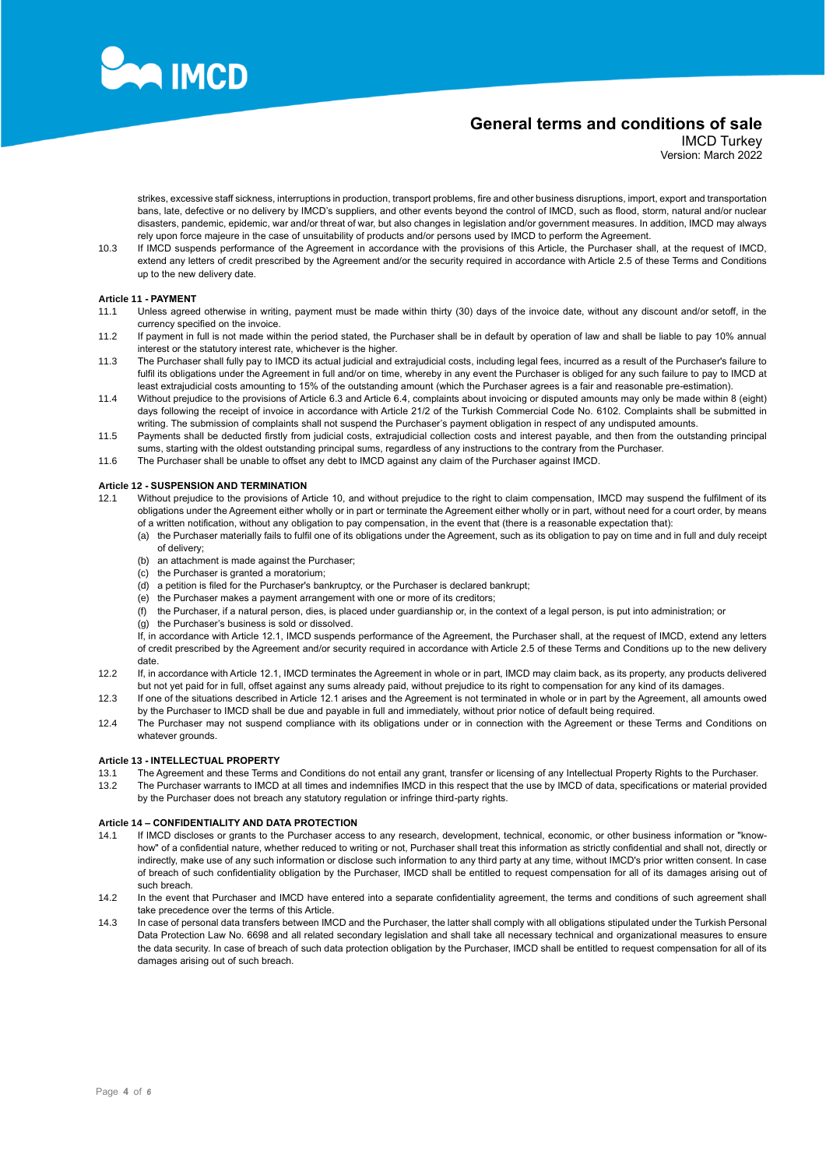

IMCD Turkey Version: March 2022

strikes, excessive staff sickness, interruptions in production, transport problems, fire and other business disruptions, import, export and transportation bans, late, defective or no delivery by IMCD's suppliers, and other events beyond the control of IMCD, such as flood, storm, natural and/or nuclear disasters, pandemic, epidemic, war and/or threat of war, but also changes in legislation and/or government measures. In addition, IMCD may always rely upon force majeure in the case of unsuitability of products and/or persons used by IMCD to perform the Agreement.

10.3 If IMCD suspends performance of the Agreement in accordance with the provisions of this Article, the Purchaser shall, at the request of IMCD, extend any letters of credit prescribed by the Agreement and/or the security required in accordance with Article [2.5](#page-0-0) of these Terms and Conditions up to the new delivery date.

### **Article 11 - PAYMENT**

- 11.1 Unless agreed otherwise in writing, payment must be made within thirty (30) days of the invoice date, without any discount and/or setoff, in the currency specified on the invoice.
- 11.2 If payment in full is not made within the period stated, the Purchaser shall be in default by operation of law and shall be liable to pay 10% annual interest or the statutory interest rate, whichever is the higher.
- 11.3 The Purchaser shall fully pay to IMCD its actual judicial and extrajudicial costs, including legal fees, incurred as a result of the Purchaser's failure to fulfil its obligations under the Agreement in full and/or on time, whereby in any event the Purchaser is obliged for any such failure to pay to IMCD at least extrajudicial costs amounting to 15% of the outstanding amount (which the Purchaser agrees is a fair and reasonable pre-estimation).
- 11.4 Without prejudice to the provisions of Articl[e 6.3](#page-1-1) and Article [6.4,](#page-1-2) complaints about invoicing or disputed amounts may only be made within 8 (eight) days following the receipt of invoice in accordance with Article 21/2 of the Turkish Commercial Code No. 6102. Complaints shall be submitted in writing. The submission of complaints shall not suspend the Purchaser's payment obligation in respect of any undisputed amounts.
- 11.5 Payments shall be deducted firstly from judicial costs, extrajudicial collection costs and interest payable, and then from the outstanding principal sums, starting with the oldest outstanding principal sums, regardless of any instructions to the contrary from the Purchaser.
- 11.6 The Purchaser shall be unable to offset any debt to IMCD against any claim of the Purchaser against IMCD.

### **Article 12 - SUSPENSION AND TERMINATION**

- <span id="page-3-0"></span>12.1 Without prejudice to the provisions o[f Article 10,](#page-2-2) and without prejudice to the right to claim compensation, IMCD may suspend the fulfilment of its obligations under the Agreement either wholly or in part or terminate the Agreement either wholly or in part, without need for a court order, by means of a written notification, without any obligation to pay compensation, in the event that (there is a reasonable expectation that):
	- (a) the Purchaser materially fails to fulfil one of its obligations under the Agreement, such as its obligation to pay on time and in full and duly receipt of delivery;
	- (b) an attachment is made against the Purchaser;
	- (c) the Purchaser is granted a moratorium;
	- (d) a petition is filed for the Purchaser's bankruptcy, or the Purchaser is declared bankrupt;
	- (e) the Purchaser makes a payment arrangement with one or more of its creditors;
	- (f) the Purchaser, if a natural person, dies, is placed under guardianship or, in the context of a legal person, is put into administration; or
	- (g) the Purchaser's business is sold or dissolved.

If, in accordance with Article [12.1,](#page-3-0) IMCD suspends performance of the Agreement, the Purchaser shall, at the request of IMCD, extend any letters of credit prescribed by the Agreement and/or security required in accordance with Articl[e 2.5](#page-0-0) of these Terms and Conditions up to the new delivery date.

- 12.2 If, in accordance with Articl[e 12.1,](#page-3-0) IMCD terminates the Agreement in whole or in part, IMCD may claim back, as its property, any products delivered but not yet paid for in full, offset against any sums already paid, without prejudice to its right to compensation for any kind of its damages.
- 12.3 If one of the situations described in Articl[e 12.1](#page-3-0) arises and the Agreement is not terminated in whole or in part by the Agreement, all amounts owed by the Purchaser to IMCD shall be due and payable in full and immediately, without prior notice of default being required.
- 12.4 The Purchaser may not suspend compliance with its obligations under or in connection with the Agreement or these Terms and Conditions on whatever grounds.

#### **Article 13 - INTELLECTUAL PROPERTY**

- 13.1 The Agreement and these Terms and Conditions do not entail any grant, transfer or licensing of any Intellectual Property Rights to the Purchaser.
- 13.2 The Purchaser warrants to IMCD at all times and indemnifies IMCD in this respect that the use by IMCD of data, specifications or material provided by the Purchaser does not breach any statutory regulation or infringe third-party rights.

#### **Article 14 – CONFIDENTIALITY AND DATA PROTECTION**

- 14.1 If IMCD discloses or grants to the Purchaser access to any research, development, technical, economic, or other business information or "knowhow" of a confidential nature, whether reduced to writing or not, Purchaser shall treat this information as strictly confidential and shall not, directly or indirectly, make use of any such information or disclose such information to any third party at any time, without IMCD's prior written consent. In case of breach of such confidentiality obligation by the Purchaser, IMCD shall be entitled to request compensation for all of its damages arising out of such breach.
- 14.2 In the event that Purchaser and IMCD have entered into a separate confidentiality agreement, the terms and conditions of such agreement shall take precedence over the terms of this Article.
- 14.3 In case of personal data transfers between IMCD and the Purchaser, the latter shall comply with all obligations stipulated under the Turkish Personal Data Protection Law No. 6698 and all related secondary legislation and shall take all necessary technical and organizational measures to ensure the data security. In case of breach of such data protection obligation by the Purchaser, IMCD shall be entitled to request compensation for all of its damages arising out of such breach.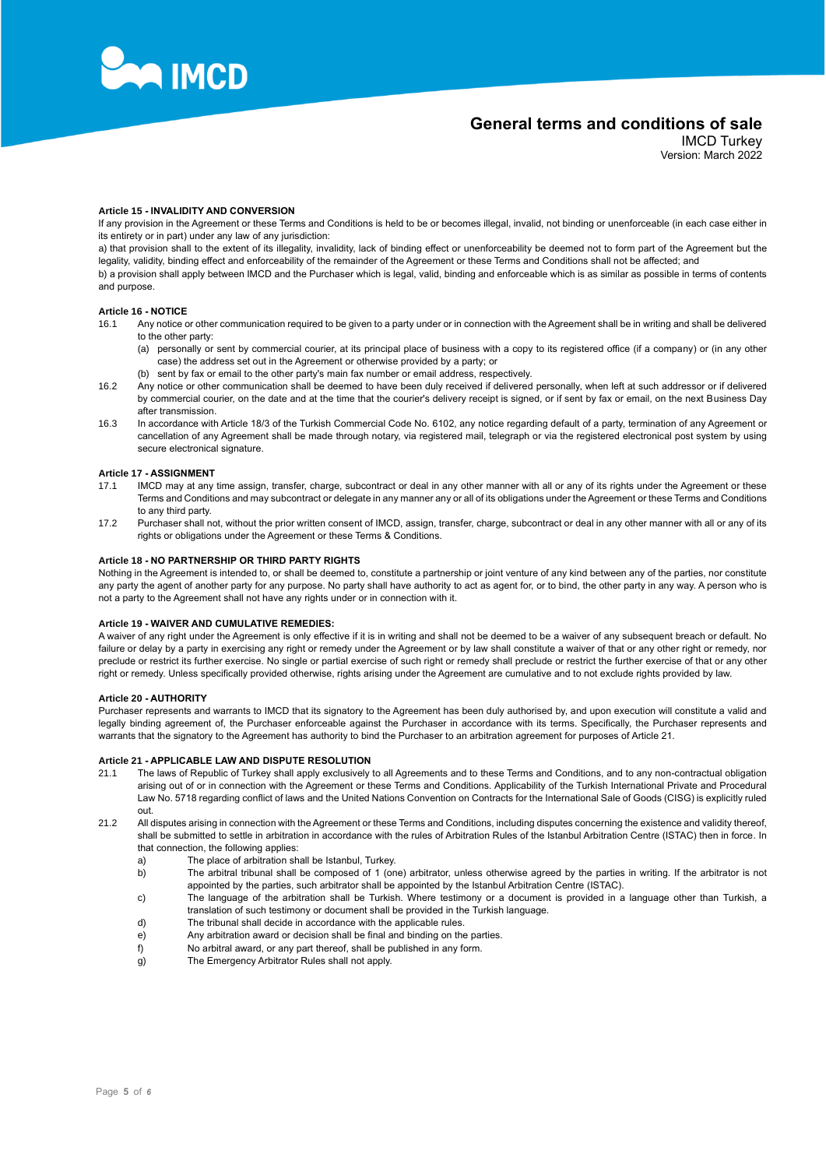

IMCD Turkey Version: March 2022

## **Article 15 - INVALIDITY AND CONVERSION**

If any provision in the Agreement or these Terms and Conditions is held to be or becomes illegal, invalid, not binding or unenforceable (in each case either in its entirety or in part) under any law of any jurisdiction:

a) that provision shall to the extent of its illegality, invalidity, lack of binding effect or unenforceability be deemed not to form part of the Agreement but the legality, validity, binding effect and enforceability of the remainder of the Agreement or these Terms and Conditions shall not be affected; and b) a provision shall apply between IMCD and the Purchaser which is legal, valid, binding and enforceable which is as similar as possible in terms of contents

and purpose.

## **Article 16 - NOTICE**

- 16.1 Any notice or other communication required to be given to a party under or in connection with the Agreement shall be in writing and shall be delivered to the other party:
	- (a) personally or sent by commercial courier, at its principal place of business with a copy to its registered office (if a company) or (in any other case) the address set out in the Agreement or otherwise provided by a party; or
	- (b) sent by fax or email to the other party's main fax number or email address, respectively.
- 16.2 Any notice or other communication shall be deemed to have been duly received if delivered personally, when left at such addressor or if delivered by commercial courier, on the date and at the time that the courier's delivery receipt is signed, or if sent by fax or email, on the next Business Day after transmission.
- 16.3 In accordance with Article 18/3 of the Turkish Commercial Code No. 6102, any notice regarding default of a party, termination of any Agreement or cancellation of any Agreement shall be made through notary, via registered mail, telegraph or via the registered electronical post system by using secure electronical signature.

#### **Article 17 - ASSIGNMENT**

- 17.1 IMCD may at any time assign, transfer, charge, subcontract or deal in any other manner with all or any of its rights under the Agreement or these Terms and Conditions and may subcontract or delegate in any manner any or all of its obligations under the Agreement or these Terms and Conditions to any third party.
- 17.2 Purchaser shall not, without the prior written consent of IMCD, assign, transfer, charge, subcontract or deal in any other manner with all or any of its rights or obligations under the Agreement or these Terms & Conditions.

#### **Article 18 - NO PARTNERSHIP OR THIRD PARTY RIGHTS**

Nothing in the Agreement is intended to, or shall be deemed to, constitute a partnership or joint venture of any kind between any of the parties, nor constitute any party the agent of another party for any purpose. No party shall have authority to act as agent for, or to bind, the other party in any way. A person who is not a party to the Agreement shall not have any rights under or in connection with it.

#### **Article 19 - WAIVER AND CUMULATIVE REMEDIES:**

A waiver of any right under the Agreement is only effective if it is in writing and shall not be deemed to be a waiver of any subsequent breach or default. No failure or delay by a party in exercising any right or remedy under the Agreement or by law shall constitute a waiver of that or any other right or remedy, nor preclude or restrict its further exercise. No single or partial exercise of such right or remedy shall preclude or restrict the further exercise of that or any other right or remedy. Unless specifically provided otherwise, rights arising under the Agreement are cumulative and to not exclude rights provided by law.

### **Article 20 - AUTHORITY**

Purchaser represents and warrants to IMCD that its signatory to the Agreement has been duly authorised by, and upon execution will constitute a valid and legally binding agreement of, the Purchaser enforceable against the Purchaser in accordance with its terms. Specifically, the Purchaser represents and warrants that the signatory to the Agreement has authority to bind the Purchaser to an arbitration agreement for purposes of Article 21.

### **Article 21 - APPLICABLE LAW AND DISPUTE RESOLUTION**

- 21.1 The laws of Republic of Turkey shall apply exclusively to all Agreements and to these Terms and Conditions, and to any non-contractual obligation arising out of or in connection with the Agreement or these Terms and Conditions. Applicability of the Turkish International Private and Procedural Law No. 5718 regarding conflict of laws and the United Nations Convention on Contracts for the International Sale of Goods (CISG) is explicitly ruled out.
- 21.2 All disputes arising in connection with the Agreement or these Terms and Conditions, including disputes concerning the existence and validity thereof, shall be submitted to settle in arbitration in accordance with the rules of Arbitration Rules of the Istanbul Arbitration Centre (ISTAC) then in force. In that connection, the following applies:
	- a) The place of arbitration shall be Istanbul, Turkey.
	- b) The arbitral tribunal shall be composed of 1 (one) arbitrator, unless otherwise agreed by the parties in writing. If the arbitrator is not appointed by the parties, such arbitrator shall be appointed by the Istanbul Arbitration Centre (ISTAC).
	- c) The language of the arbitration shall be Turkish. Where testimony or a document is provided in a language other than Turkish, a translation of such testimony or document shall be provided in the Turkish language.
	- d) The tribunal shall decide in accordance with the applicable rules.
	- $\overrightarrow{e}$  Any arbitration award or decision shall be final and binding on the parties.
	- f) No arbitral award, or any part thereof, shall be published in any form.
	- g) The Emergency Arbitrator Rules shall not apply.